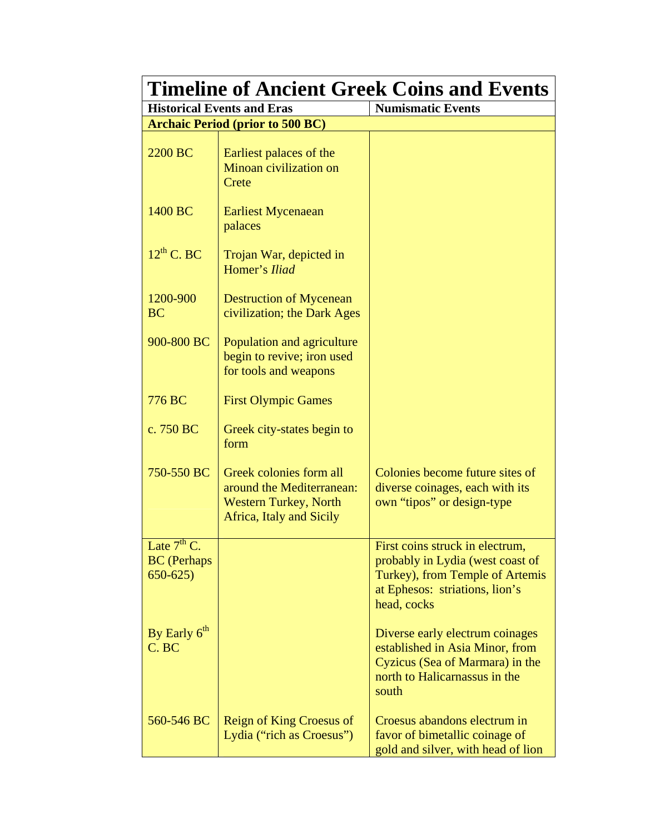| <b>Timeline of Ancient Greek Coins and Events</b>                |                                                                                                                  |                                                                                                                                                         |
|------------------------------------------------------------------|------------------------------------------------------------------------------------------------------------------|---------------------------------------------------------------------------------------------------------------------------------------------------------|
|                                                                  | <b>Historical Events and Eras</b>                                                                                | <b>Numismatic Events</b>                                                                                                                                |
|                                                                  | <b>Archaic Period (prior to 500 BC)</b>                                                                          |                                                                                                                                                         |
| 2200 BC                                                          | Earliest palaces of the<br>Minoan civilization on<br>Crete                                                       |                                                                                                                                                         |
| 1400 BC                                                          | <b>Earliest Mycenaean</b><br>palaces                                                                             |                                                                                                                                                         |
| $12^{th}$ C, BC                                                  | Trojan War, depicted in<br>Homer's Iliad                                                                         |                                                                                                                                                         |
| 1200-900<br><b>BC</b>                                            | <b>Destruction of Mycenean</b><br>civilization; the Dark Ages                                                    |                                                                                                                                                         |
| 900-800 BC                                                       | Population and agriculture<br>begin to revive; iron used<br>for tools and weapons                                |                                                                                                                                                         |
| 776 BC                                                           | <b>First Olympic Games</b>                                                                                       |                                                                                                                                                         |
| c. 750 BC                                                        | Greek city-states begin to<br>form                                                                               |                                                                                                                                                         |
| 750-550 BC                                                       | Greek colonies form all<br>around the Mediterranean:<br><b>Western Turkey, North</b><br>Africa, Italy and Sicily | Colonies become future sites of<br>diverse coinages, each with its<br>own "tipos" or design-type                                                        |
| Late $7^{\overline{th}}$ C.<br><b>BC</b> (Perhaps<br>$650 - 625$ |                                                                                                                  | First coins struck in electrum,<br>probably in Lydia (west coast of<br>Turkey), from Temple of Artemis<br>at Ephesos: striations, lion's<br>head, cocks |
| By Early 6 <sup>th</sup><br>C.BC                                 |                                                                                                                  | Diverse early electrum coinages<br>established in Asia Minor, from<br>Cyzicus (Sea of Marmara) in the<br>north to Halicarnassus in the<br>south         |
| 560-546 BC                                                       | <b>Reign of King Croesus of</b><br>Lydia ("rich as Croesus")                                                     | Croesus abandons electrum in<br>favor of bimetallic coinage of<br>gold and silver, with head of lion                                                    |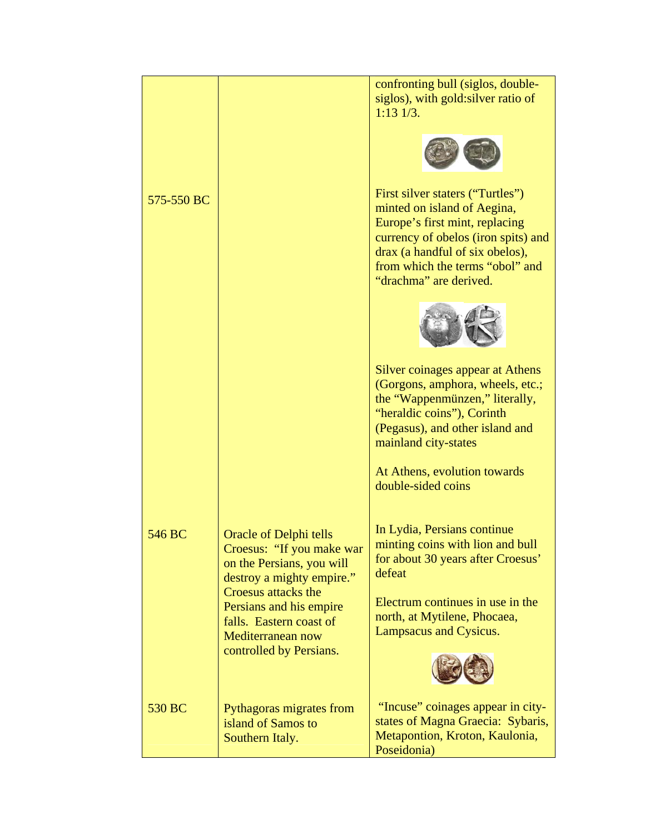|            |                                                                                                                                  | confronting bull (siglos, double-<br>siglos), with gold: silver ratio of<br>$1:13 \frac{1}{3}$ .                                                                                                                                         |
|------------|----------------------------------------------------------------------------------------------------------------------------------|------------------------------------------------------------------------------------------------------------------------------------------------------------------------------------------------------------------------------------------|
| 575-550 BC |                                                                                                                                  | First silver staters ("Turtles")<br>minted on island of Aegina,<br>Europe's first mint, replacing<br>currency of obelos (iron spits) and<br>drax (a handful of six obelos),<br>from which the terms "obol" and<br>"drachma" are derived. |
|            |                                                                                                                                  |                                                                                                                                                                                                                                          |
|            |                                                                                                                                  | Silver coinages appear at Athens<br>(Gorgons, amphora, wheels, etc.;<br>the "Wappenmünzen," literally,<br>"heraldic coins"), Corinth<br>(Pegasus), and other island and<br>mainland city-states                                          |
|            |                                                                                                                                  | At Athens, evolution towards<br>double-sided coins                                                                                                                                                                                       |
| 546 BC     | <b>Oracle of Delphi tells</b><br>Croesus: "If you make war<br>on the Persians, you will<br>destroy a mighty empire."             | In Lydia, Persians continue<br>minting coins with lion and bull<br>for about 30 years after Croesus'<br>defeat                                                                                                                           |
|            | <b>Croesus attacks the</b><br>Persians and his empire<br>falls. Eastern coast of<br>Mediterranean now<br>controlled by Persians. | Electrum continues in use in the<br>north, at Mytilene, Phocaea,<br>Lampsacus and Cysicus.                                                                                                                                               |
| 530 BC     | Pythagoras migrates from<br>island of Samos to<br>Southern Italy.                                                                | "Incuse" coinages appear in city-<br>states of Magna Graecia: Sybaris,<br>Metapontion, Kroton, Kaulonia,<br>Poseidonia)                                                                                                                  |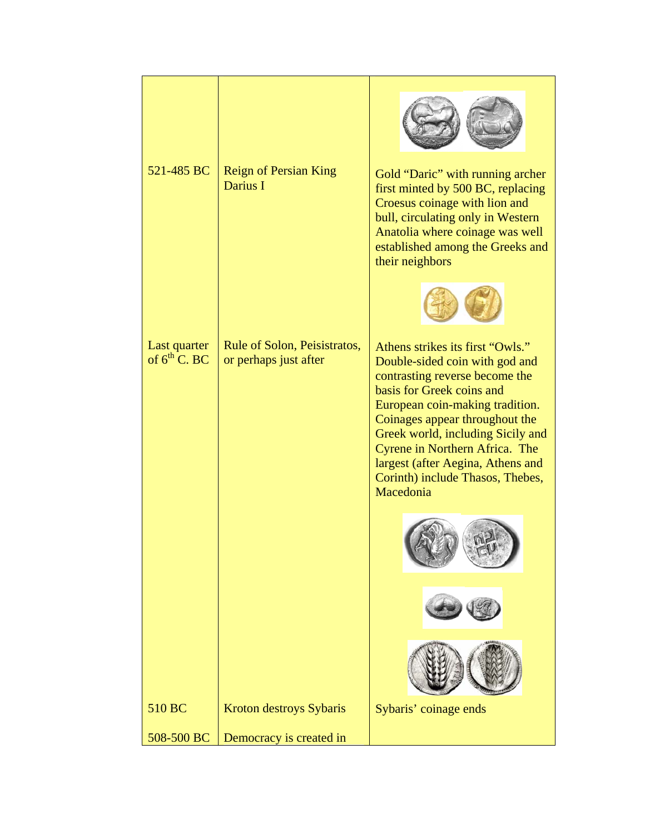| 521-485 BC                        | <b>Reign of Persian King</b><br>Darius I              | Gold "Daric" with running archer<br>first minted by 500 BC, replacing<br>Croesus coinage with lion and<br>bull, circulating only in Western<br>Anatolia where coinage was well<br>established among the Greeks and<br>their neighbors                                                                                                                               |
|-----------------------------------|-------------------------------------------------------|---------------------------------------------------------------------------------------------------------------------------------------------------------------------------------------------------------------------------------------------------------------------------------------------------------------------------------------------------------------------|
|                                   |                                                       |                                                                                                                                                                                                                                                                                                                                                                     |
| Last quarter<br>of $6^{th}$ C. BC | Rule of Solon, Peisistratos,<br>or perhaps just after | Athens strikes its first "Owls."<br>Double-sided coin with god and<br>contrasting reverse become the<br>basis for Greek coins and<br>European coin-making tradition.<br>Coinages appear throughout the<br>Greek world, including Sicily and<br>Cyrene in Northern Africa. The<br>largest (after Aegina, Athens and<br>Corinth) include Thasos, Thebes,<br>Macedonia |
|                                   |                                                       |                                                                                                                                                                                                                                                                                                                                                                     |
|                                   |                                                       |                                                                                                                                                                                                                                                                                                                                                                     |
|                                   |                                                       |                                                                                                                                                                                                                                                                                                                                                                     |
| 510 BC                            | Kroton destroys Sybaris                               | Sybaris' coinage ends                                                                                                                                                                                                                                                                                                                                               |
| 508-500 BC                        | Democracy is created in                               |                                                                                                                                                                                                                                                                                                                                                                     |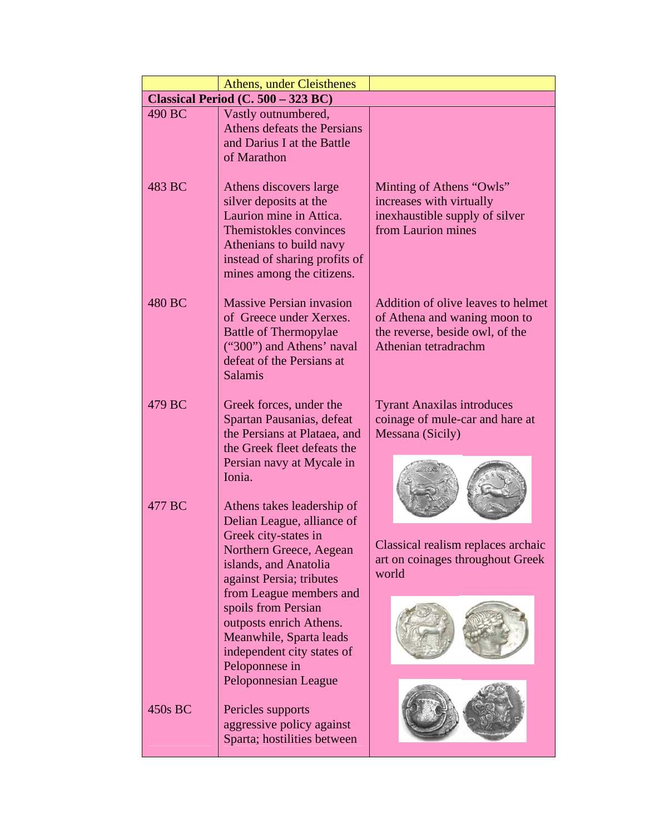|                  | <b>Athens, under Cleisthenes</b>                                                                                                                                                                                                                                                                                                                 |                                                                                                                               |
|------------------|--------------------------------------------------------------------------------------------------------------------------------------------------------------------------------------------------------------------------------------------------------------------------------------------------------------------------------------------------|-------------------------------------------------------------------------------------------------------------------------------|
|                  | Classical Period (C. 500 – 323 BC)                                                                                                                                                                                                                                                                                                               |                                                                                                                               |
| 490 BC<br>483 BC | Vastly outnumbered,<br>Athens defeats the Persians<br>and Darius I at the Battle<br>of Marathon<br>Athens discovers large<br>silver deposits at the<br>Laurion mine in Attica.<br>Themistokles convinces<br>Athenians to build navy<br>instead of sharing profits of<br>mines among the citizens.                                                | Minting of Athens "Owls"<br>increases with virtually<br>inexhaustible supply of silver<br>from Laurion mines                  |
| 480 BC           | <b>Massive Persian invasion</b><br>of Greece under Xerxes.<br><b>Battle of Thermopylae</b><br>("300") and Athens' naval<br>defeat of the Persians at<br><b>Salamis</b>                                                                                                                                                                           | Addition of olive leaves to helmet<br>of Athena and waning moon to<br>the reverse, beside owl, of the<br>Athenian tetradrachm |
| 479 BC           | Greek forces, under the<br>Spartan Pausanias, defeat<br>the Persians at Plataea, and<br>the Greek fleet defeats the<br>Persian navy at Mycale in<br>Ionia.                                                                                                                                                                                       | <b>Tyrant Anaxilas introduces</b><br>coinage of mule-car and hare at<br>Messana (Sicily)                                      |
| 477 BC           | Athens takes leadership of<br>Delian League, alliance of<br>Greek city-states in<br>Northern Greece, Aegean<br>islands, and Anatolia<br>against Persia; tributes<br>from League members and<br>spoils from Persian<br>outposts enrich Athens.<br>Meanwhile, Sparta leads<br>independent city states of<br>Peloponnese in<br>Peloponnesian League | Classical realism replaces archaic<br>art on coinages throughout Greek<br>world                                               |
| 450s BC          | Pericles supports<br>aggressive policy against<br>Sparta; hostilities between                                                                                                                                                                                                                                                                    |                                                                                                                               |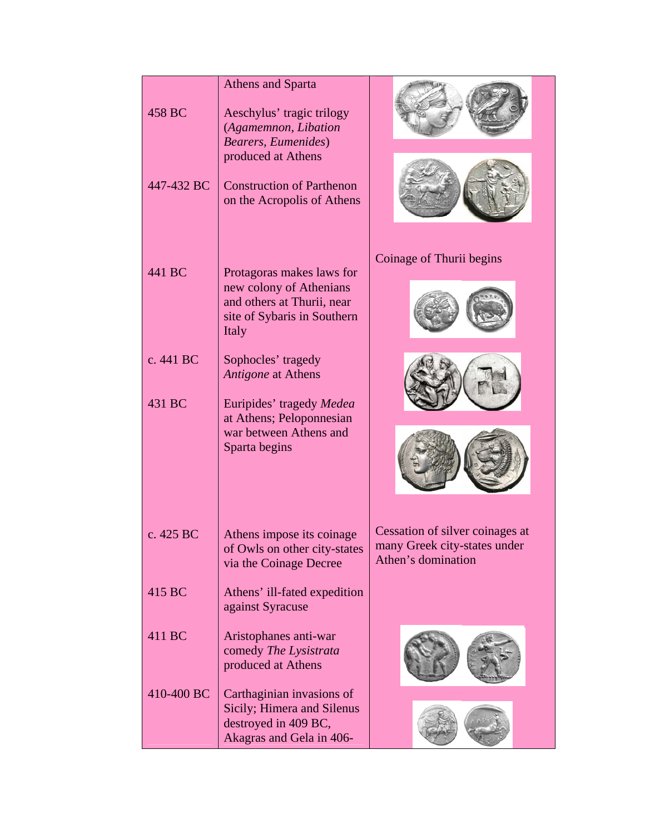| 458 BC<br>447-432 BC | <b>Athens and Sparta</b><br>Aeschylus' tragic trilogy<br>(Agamemnon, Libation<br>Bearers, Eumenides)<br>produced at Athens<br><b>Construction of Parthenon</b><br>on the Acropolis of Athens |                                                                                       |
|----------------------|----------------------------------------------------------------------------------------------------------------------------------------------------------------------------------------------|---------------------------------------------------------------------------------------|
| 441 BC               | Protagoras makes laws for<br>new colony of Athenians<br>and others at Thurii, near<br>site of Sybaris in Southern<br>Italy                                                                   | Coinage of Thurii begins                                                              |
| c. 441 BC<br>431 BC  | Sophocles' tragedy<br>Antigone at Athens<br>Euripides' tragedy Medea                                                                                                                         |                                                                                       |
|                      | at Athens; Peloponnesian<br>war between Athens and<br>Sparta begins                                                                                                                          |                                                                                       |
| c. 425 BC            | Athens impose its coinage<br>of Owls on other city-states<br>via the Coinage Decree                                                                                                          | Cessation of silver coinages at<br>many Greek city-states under<br>Athen's domination |
| 415 BC               | Athens' ill-fated expedition<br>against Syracuse                                                                                                                                             |                                                                                       |
| 411 BC               | Aristophanes anti-war<br>comedy The Lysistrata<br>produced at Athens                                                                                                                         |                                                                                       |
| 410-400 BC           | Carthaginian invasions of<br>Sicily; Himera and Silenus<br>destroyed in 409 BC,<br>Akagras and Gela in 406-                                                                                  |                                                                                       |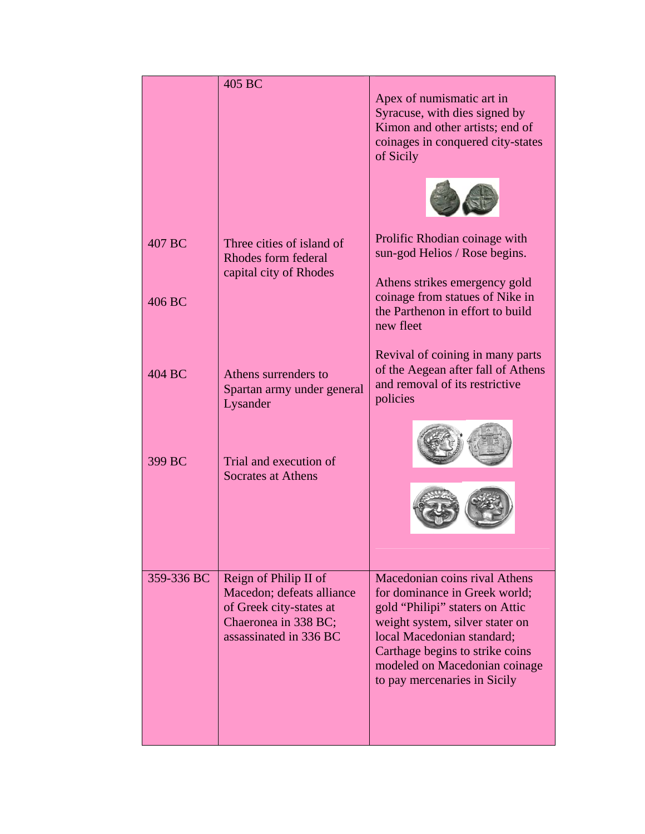|            | 405 BC                                                                                                                          |                                                                                                                                                                                                                                                                        |
|------------|---------------------------------------------------------------------------------------------------------------------------------|------------------------------------------------------------------------------------------------------------------------------------------------------------------------------------------------------------------------------------------------------------------------|
|            |                                                                                                                                 | Apex of numismatic art in<br>Syracuse, with dies signed by<br>Kimon and other artists; end of<br>coinages in conquered city-states<br>of Sicily                                                                                                                        |
|            |                                                                                                                                 |                                                                                                                                                                                                                                                                        |
| 407 BC     | Three cities of island of<br>Rhodes form federal                                                                                | Prolific Rhodian coinage with<br>sun-god Helios / Rose begins.                                                                                                                                                                                                         |
| 406 BC     | capital city of Rhodes                                                                                                          | Athens strikes emergency gold<br>coinage from statues of Nike in<br>the Parthenon in effort to build<br>new fleet                                                                                                                                                      |
| 404 BC     | Athens surrenders to<br>Spartan army under general<br>Lysander                                                                  | Revival of coining in many parts<br>of the Aegean after fall of Athens<br>and removal of its restrictive<br>policies                                                                                                                                                   |
| 399 BC     | Trial and execution of<br>Socrates at Athens                                                                                    |                                                                                                                                                                                                                                                                        |
| 359-336 BC | Reign of Philip II of<br>Macedon; defeats alliance<br>of Greek city-states at<br>Chaeronea in 338 BC;<br>assassinated in 336 BC | Macedonian coins rival Athens<br>for dominance in Greek world:<br>gold "Philipi" staters on Attic<br>weight system, silver stater on<br>local Macedonian standard;<br>Carthage begins to strike coins<br>modeled on Macedonian coinage<br>to pay mercenaries in Sicily |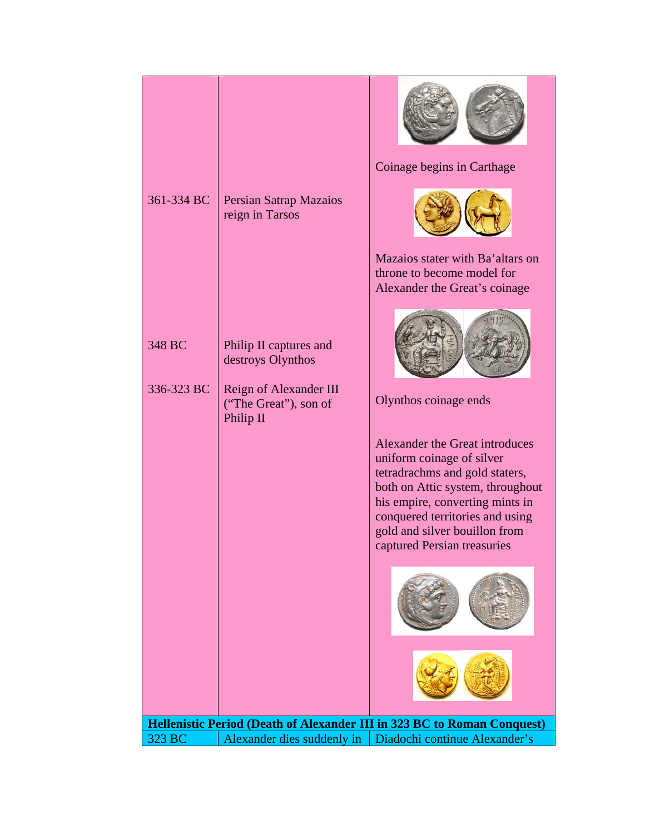| 361-334 BC<br>348 BC<br>336-323 BC | Persian Satrap Mazaios<br>reign in Tarsos<br>Philip II captures and<br>destroys Olynthos<br>Reign of Alexander III<br>("The Great"), son of<br>Philip II | Coinage begins in Carthage<br>Mazaios stater with Ba'altars on<br>throne to become model for<br>Alexander the Great's coinage<br>Olynthos coinage ends<br>Alexander the Great introduces<br>uniform coinage of silver<br>tetradrachms and gold staters,<br>both on Attic system, throughout<br>his empire, converting mints in<br>conquered territories and using<br>gold and silver bouillon from<br>captured Persian treasuries |
|------------------------------------|----------------------------------------------------------------------------------------------------------------------------------------------------------|-----------------------------------------------------------------------------------------------------------------------------------------------------------------------------------------------------------------------------------------------------------------------------------------------------------------------------------------------------------------------------------------------------------------------------------|
|                                    |                                                                                                                                                          | Hellenistic Period (Death of Alexander III in 323 BC to Roman Conquest)                                                                                                                                                                                                                                                                                                                                                           |
| 323 BC                             |                                                                                                                                                          | Alexander dies suddenly in   Diadochi continue Alexander's                                                                                                                                                                                                                                                                                                                                                                        |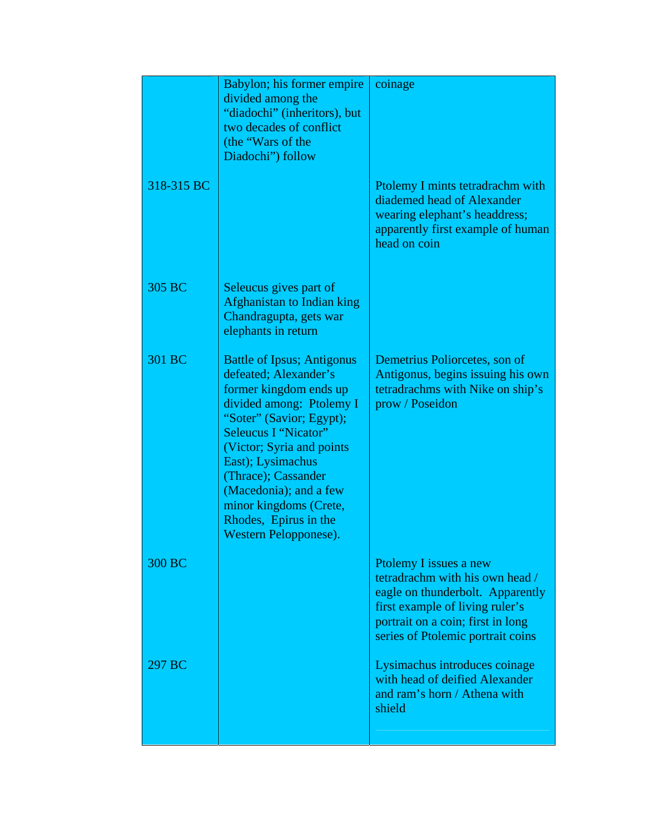|            | Babylon; his former empire<br>divided among the<br>"diadochi" (inheritors), but<br>two decades of conflict<br>(the "Wars of the<br>Diadochi") follow                                                                                                                                                                                                        | coinage                                                                                                                                                                                                    |
|------------|-------------------------------------------------------------------------------------------------------------------------------------------------------------------------------------------------------------------------------------------------------------------------------------------------------------------------------------------------------------|------------------------------------------------------------------------------------------------------------------------------------------------------------------------------------------------------------|
| 318-315 BC |                                                                                                                                                                                                                                                                                                                                                             | Ptolemy I mints tetradrachm with<br>diademed head of Alexander<br>wearing elephant's headdress;<br>apparently first example of human<br>head on coin                                                       |
| 305 BC     | Seleucus gives part of<br>Afghanistan to Indian king<br>Chandragupta, gets war<br>elephants in return                                                                                                                                                                                                                                                       |                                                                                                                                                                                                            |
| 301 BC     | <b>Battle of Ipsus; Antigonus</b><br>defeated; Alexander's<br>former kingdom ends up<br>divided among: Ptolemy I<br>"Soter" (Savior; Egypt);<br><b>Seleucus I "Nicator"</b><br>(Victor; Syria and points)<br>East); Lysimachus<br>(Thrace); Cassander<br>(Macedonia); and a few<br>minor kingdoms (Crete,<br>Rhodes, Epirus in the<br>Western Pelopponese). | Demetrius Poliorcetes, son of<br>Antigonus, begins issuing his own<br>tetradrachms with Nike on ship's<br>prow / Poseidon                                                                                  |
| 300 BC     |                                                                                                                                                                                                                                                                                                                                                             | Ptolemy I issues a new<br>tetradrachm with his own head /<br>eagle on thunderbolt. Apparently<br>first example of living ruler's<br>portrait on a coin; first in long<br>series of Ptolemic portrait coins |
| 297 BC     |                                                                                                                                                                                                                                                                                                                                                             | Lysimachus introduces coinage<br>with head of deified Alexander<br>and ram's horn / Athena with<br>shield                                                                                                  |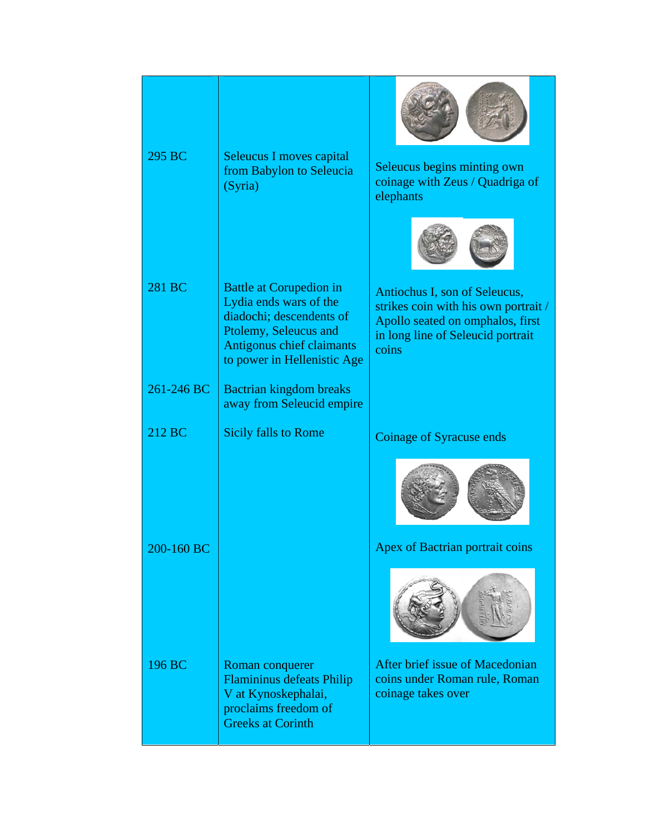| 295 BC        | Seleucus I moves capital<br>from Babylon to Seleucia<br>(Syria)                                                                                                           | Seleucus begins minting own<br>coinage with Zeus / Quadriga of<br>elephants                                                                             |
|---------------|---------------------------------------------------------------------------------------------------------------------------------------------------------------------------|---------------------------------------------------------------------------------------------------------------------------------------------------------|
|               |                                                                                                                                                                           |                                                                                                                                                         |
| <b>281 BC</b> | <b>Battle at Corupedion in</b><br>Lydia ends wars of the<br>diadochi; descendents of<br>Ptolemy, Seleucus and<br>Antigonus chief claimants<br>to power in Hellenistic Age | Antiochus I, son of Seleucus,<br>strikes coin with his own portrait /<br>Apollo seated on omphalos, first<br>in long line of Seleucid portrait<br>coins |
| 261-246 BC    | Bactrian kingdom breaks<br>away from Seleucid empire                                                                                                                      |                                                                                                                                                         |
| 212 BC        | <b>Sicily falls to Rome</b>                                                                                                                                               | Coinage of Syracuse ends                                                                                                                                |
|               |                                                                                                                                                                           |                                                                                                                                                         |
| 200-160 BC    |                                                                                                                                                                           | Apex of Bactrian portrait coins                                                                                                                         |
|               |                                                                                                                                                                           |                                                                                                                                                         |
| 196 BC        | Roman conquerer<br><b>Flamininus defeats Philip</b><br>V at Kynoskephalai,<br>proclaims freedom of<br><b>Greeks at Corinth</b>                                            | After brief issue of Macedonian<br>coins under Roman rule, Roman<br>coinage takes over                                                                  |